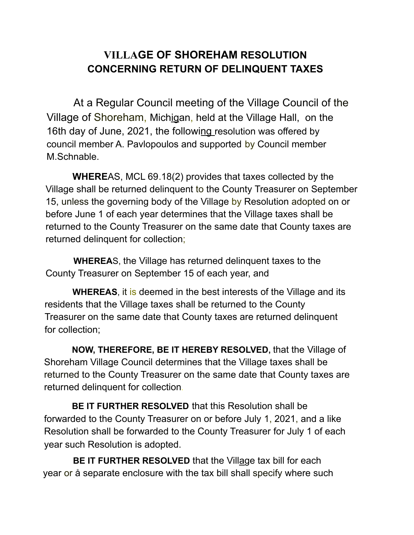## **VILLAGE OF SHOREHAM RESOLUTION CONCERNING RETURN OF DELINQUENT TAXES**

At a Regular Council meeting of the Village Council of the Village of Shoreham, Michigan, held at the Village Hall, on the 16th day of June, 2021, the following resolution was offered by council member A. Pavlopoulos and supported by Council member M.Schnable.

**WHERE**AS, MCL 69.18(2) provides that taxes collected by the Village shall be returned delinquent to the County Treasurer on September 15, unless the governing body of the Village by Resolution adopted on or before June 1 of each year determines that the Village taxes shall be returned to the County Treasurer on the same date that County taxes are returned delinquent for collection;

**WHEREA**S, the Village has returned delinquent taxes to the County Treasurer on September 15 of each year, and

**WHEREAS**, it is deemed in the best interests of the Village and its residents that the Village taxes shall be returned to the County Treasurer on the same date that County taxes are returned delinquent for collection;

**NOW, THEREFORE, BE IT HEREBY RESOLVED,** that the Village of Shoreham Village Council determines that the Village taxes shall be returned to the County Treasurer on the same date that County taxes are returned delinquent for collection.

**BE IT FURTHER RESOLVED** that this Resolution shall be forwarded to the County Treasurer on or before July 1, 2021, and a like Resolution shall be forwarded to the County Treasurer for July 1 of each year such Resolution is adopted.

**BE IT FURTHER RESOLVED** that the Village tax bill for each year or å separate enclosure with the tax bill shall specify where such